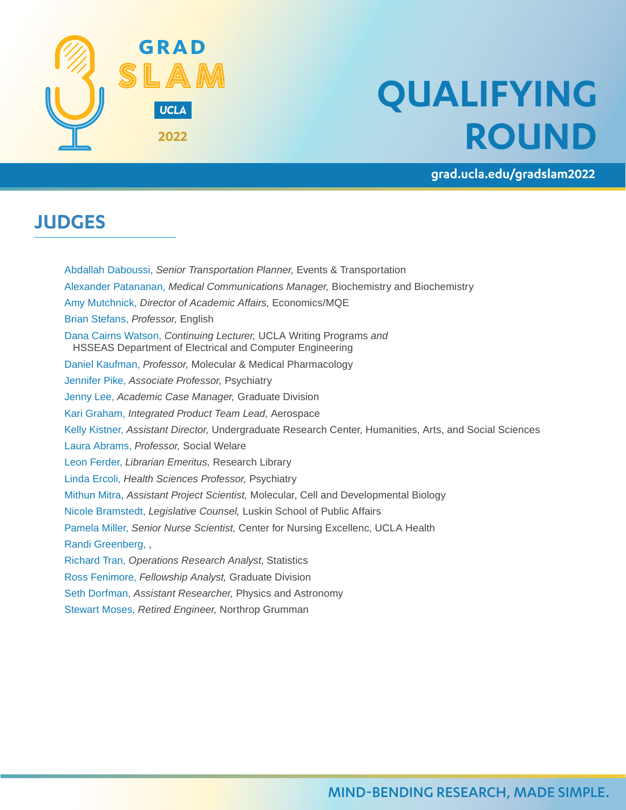

# **QUALIFYING ROUND**

**grad.ucla.edu/gradslam2022**

### **JUDGES**

Abdallah Daboussi, *Senior Transportation Planner,* Events & Transportation Alexander Patananan, *Medical Communications Manager,* Biochemistry and Biochemistry Amy Mutchnick, *Director of Academic Affairs,* Economics/MQE Brian Stefans, *Professor,* English Dana Cairns Watson, *Continuing Lecturer,* UCLA Writing Programs *and*  HSSEAS Department of Electrical and Computer Engineering Daniel Kaufman, *Professor,* Molecular & Medical Pharmacology Jennifer Pike, *Associate Professor,* Psychiatry Jenny Lee, *Academic Case Manager,* Graduate Division Kari Graham, *Integrated Product Team Lead,* Aerospace Kelly Kistner, *Assistant Director,* Undergraduate Research Center, Humanities, Arts, and Social Sciences Laura Abrams, *Professor,* Social Welare Leon Ferder, *Librarian Emeritus,* Research Library Linda Ercoli, *Health Sciences Professor,* Psychiatry Mithun Mitra, *Assistant Project Scientist,* Molecular, Cell and Developmental Biology Nicole Bramstedt, *Legislative Counsel,* Luskin School of Public Affairs Pamela Miller, *Senior Nurse Scientist,* Center for Nursing Excellenc, UCLA Health Randi Greenberg, , Richard Tran, *Operations Research Analyst*, Statistics Ross Fenimore, *Fellowship Analyst,* Graduate Division Seth Dorfman, *Assistant Researcher,* Physics and Astronomy

Stewart Moses, *Retired Engineer,* Northrop Grumman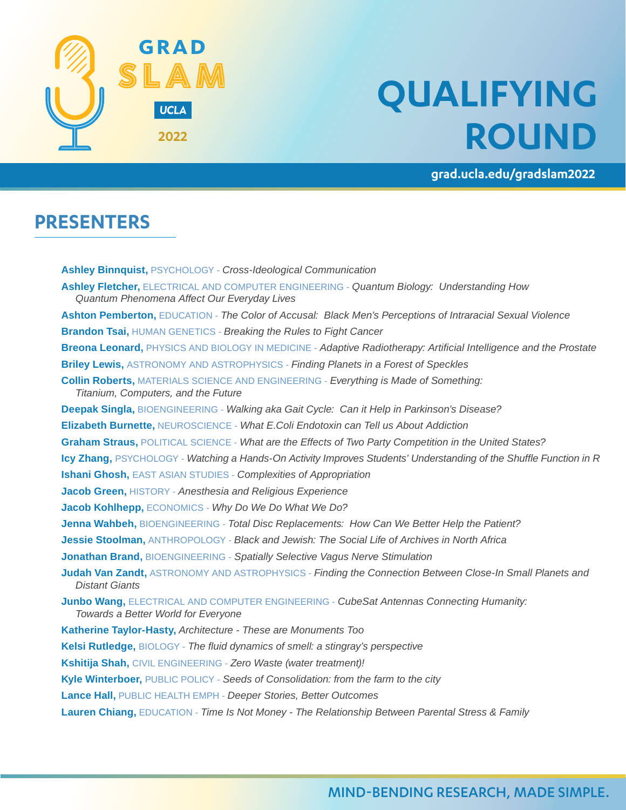

# **QUALIFYING ROUND**

**grad.ucla.edu/gradslam2022**

#### **PRESENTERS**

**Ashley Binnquist,** PSYCHOLOGY - *Cross-Ideological Communication* **Ashley Fletcher,** ELECTRICAL AND COMPUTER ENGINEERING - *Quantum Biology: Understanding How Quantum Phenomena Affect Our Everyday Lives* **Ashton Pemberton,** EDUCATION - *The Color of Accusal: Black Men's Perceptions of Intraracial Sexual Violence* **Brandon Tsai,** HUMAN GENETICS - *Breaking the Rules to Fight Cancer* **Breona Leonard,** PHYSICS AND BIOLOGY IN MEDICINE - *Adaptive Radiotherapy: Artificial Intelligence and the Prostate* **Briley Lewis,** ASTRONOMY AND ASTROPHYSICS - *Finding Planets in a Forest of Speckles* **Collin Roberts,** MATERIALS SCIENCE AND ENGINEERING - *Everything is Made of Something: Titanium, Computers, and the Future* **Deepak Singla,** BIOENGINEERING - *Walking aka Gait Cycle: Can it Help in Parkinson's Disease?* **Elizabeth Burnette,** NEUROSCIENCE - *What E.Coli Endotoxin can Tell us About Addiction* **Graham Straus,** POLITICAL SCIENCE - *What are the Effects of Two Party Competition in the United States?* **Icy Zhang,** PSYCHOLOGY - *Watching a Hands-On Activity Improves Students' Understanding of the Shuffle Function in R* **Ishani Ghosh,** EAST ASIAN STUDIES - *Complexities of Appropriation* **Jacob Green,** HISTORY - *Anesthesia and Religious Experience* **Jacob Kohlhepp,** ECONOMICS - *Why Do We Do What We Do?* **Jenna Wahbeh,** BIOENGINEERING - *Total Disc Replacements: How Can We Better Help the Patient?* **Jessie Stoolman,** ANTHROPOLOGY - *Black and Jewish: The Social Life of Archives in North Africa* **Jonathan Brand,** BIOENGINEERING - *Spatially Selective Vagus Nerve Stimulation* **Judah Van Zandt,** ASTRONOMY AND ASTROPHYSICS - *Finding the Connection Between Close-In Small Planets and Distant Giants* **Junbo Wang,** ELECTRICAL AND COMPUTER ENGINEERING - *CubeSat Antennas Connecting Humanity: Towards a Better World for Everyone* **Katherine Taylor-Hasty,** *Architecture - These are Monuments Too* **Kelsi Rutledge,** BIOLOGY - *The fluid dynamics of smell: a stingray's perspective* **Kshitija Shah,** CIVIL ENGINEERING - *Zero Waste (water treatment)!* **Kyle Winterboer,** PUBLIC POLICY - *Seeds of Consolidation: from the farm to the city* **Lance Hall,** PUBLIC HEALTH EMPH - *Deeper Stories, Better Outcomes* **Lauren Chiang,** EDUCATION - *Time Is Not Money - The Relationship Between Parental Stress & Family*